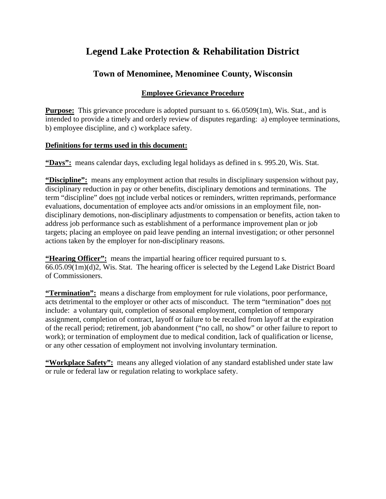# **Legend Lake Protection & Rehabilitation District**

## **Town of Menominee, Menominee County, Wisconsin**

## **Employee Grievance Procedure**

**Purpose:** This grievance procedure is adopted pursuant to s. 66.0509(1m), Wis. Stat., and is intended to provide a timely and orderly review of disputes regarding: a) employee terminations, b) employee discipline, and c) workplace safety.

## **Definitions for terms used in this document:**

**"Days":** means calendar days, excluding legal holidays as defined in s. 995.20, Wis. Stat.

**"Discipline":** means any employment action that results in disciplinary suspension without pay, disciplinary reduction in pay or other benefits, disciplinary demotions and terminations. The term "discipline" does not include verbal notices or reminders, written reprimands, performance evaluations, documentation of employee acts and/or omissions in an employment file, nondisciplinary demotions, non-disciplinary adjustments to compensation or benefits, action taken to address job performance such as establishment of a performance improvement plan or job targets; placing an employee on paid leave pending an internal investigation; or other personnel actions taken by the employer for non-disciplinary reasons.

**"Hearing Officer":** means the impartial hearing officer required pursuant to s. 66.05.09(1m)(d)2, Wis. Stat. The hearing officer is selected by the Legend Lake District Board of Commissioners.

**"Termination":** means a discharge from employment for rule violations, poor performance, acts detrimental to the employer or other acts of misconduct. The term "termination" does not include: a voluntary quit, completion of seasonal employment, completion of temporary assignment, completion of contract, layoff or failure to be recalled from layoff at the expiration of the recall period; retirement, job abandonment ("no call, no show" or other failure to report to work); or termination of employment due to medical condition, lack of qualification or license, or any other cessation of employment not involving involuntary termination.

**"Workplace Safety":** means any alleged violation of any standard established under state law or rule or federal law or regulation relating to workplace safety.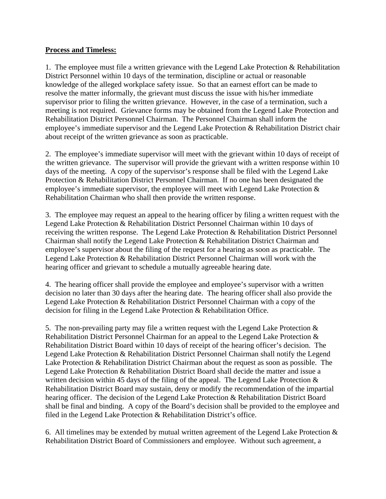### **Process and Timeless:**

1. The employee must file a written grievance with the Legend Lake Protection & Rehabilitation District Personnel within 10 days of the termination, discipline or actual or reasonable knowledge of the alleged workplace safety issue. So that an earnest effort can be made to resolve the matter informally, the grievant must discuss the issue with his/her immediate supervisor prior to filing the written grievance. However, in the case of a termination, such a meeting is not required. Grievance forms may be obtained from the Legend Lake Protection and Rehabilitation District Personnel Chairman. The Personnel Chairman shall inform the employee's immediate supervisor and the Legend Lake Protection & Rehabilitation District chair about receipt of the written grievance as soon as practicable.

2. The employee's immediate supervisor will meet with the grievant within 10 days of receipt of the written grievance. The supervisor will provide the grievant with a written response within 10 days of the meeting. A copy of the supervisor's response shall be filed with the Legend Lake Protection & Rehabilitation District Personnel Chairman. If no one has been designated the employee's immediate supervisor, the employee will meet with Legend Lake Protection & Rehabilitation Chairman who shall then provide the written response.

3. The employee may request an appeal to the hearing officer by filing a written request with the Legend Lake Protection & Rehabilitation District Personnel Chairman within 10 days of receiving the written response. The Legend Lake Protection & Rehabilitation District Personnel Chairman shall notify the Legend Lake Protection & Rehabilitation District Chairman and employee's supervisor about the filing of the request for a hearing as soon as practicable. The Legend Lake Protection & Rehabilitation District Personnel Chairman will work with the hearing officer and grievant to schedule a mutually agreeable hearing date.

4. The hearing officer shall provide the employee and employee's supervisor with a written decision no later than 30 days after the hearing date. The hearing officer shall also provide the Legend Lake Protection & Rehabilitation District Personnel Chairman with a copy of the decision for filing in the Legend Lake Protection & Rehabilitation Office.

5. The non-prevailing party may file a written request with the Legend Lake Protection  $\&$ Rehabilitation District Personnel Chairman for an appeal to the Legend Lake Protection & Rehabilitation District Board within 10 days of receipt of the hearing officer's decision. The Legend Lake Protection & Rehabilitation District Personnel Chairman shall notify the Legend Lake Protection & Rehabilitation District Chairman about the request as soon as possible. The Legend Lake Protection & Rehabilitation District Board shall decide the matter and issue a written decision within 45 days of the filing of the appeal. The Legend Lake Protection  $\&$ Rehabilitation District Board may sustain, deny or modify the recommendation of the impartial hearing officer. The decision of the Legend Lake Protection & Rehabilitation District Board shall be final and binding. A copy of the Board's decision shall be provided to the employee and filed in the Legend Lake Protection & Rehabilitation District's office.

6. All timelines may be extended by mutual written agreement of the Legend Lake Protection  $\&$ Rehabilitation District Board of Commissioners and employee. Without such agreement, a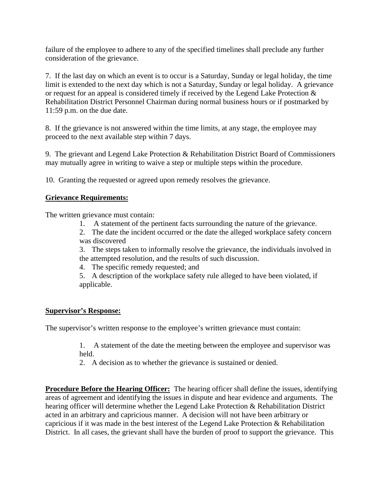failure of the employee to adhere to any of the specified timelines shall preclude any further consideration of the grievance.

7. If the last day on which an event is to occur is a Saturday, Sunday or legal holiday, the time limit is extended to the next day which is not a Saturday, Sunday or legal holiday. A grievance or request for an appeal is considered timely if received by the Legend Lake Protection & Rehabilitation District Personnel Chairman during normal business hours or if postmarked by 11:59 p.m. on the due date.

8. If the grievance is not answered within the time limits, at any stage, the employee may proceed to the next available step within 7 days.

9. The grievant and Legend Lake Protection & Rehabilitation District Board of Commissioners may mutually agree in writing to waive a step or multiple steps within the procedure.

10. Granting the requested or agreed upon remedy resolves the grievance.

### **Grievance Requirements:**

The written grievance must contain:

1. A statement of the pertinent facts surrounding the nature of the grievance.

2. The date the incident occurred or the date the alleged workplace safety concern was discovered

3. The steps taken to informally resolve the grievance, the individuals involved in

- the attempted resolution, and the results of such discussion.
- 4. The specific remedy requested; and

5. A description of the workplace safety rule alleged to have been violated, if applicable.

### **Supervisor's Response:**

The supervisor's written response to the employee's written grievance must contain:

1. A statement of the date the meeting between the employee and supervisor was held.

2. A decision as to whether the grievance is sustained or denied.

**Procedure Before the Hearing Officer:** The hearing officer shall define the issues, identifying areas of agreement and identifying the issues in dispute and hear evidence and arguments. The hearing officer will determine whether the Legend Lake Protection & Rehabilitation District acted in an arbitrary and capricious manner. A decision will not have been arbitrary or capricious if it was made in the best interest of the Legend Lake Protection & Rehabilitation District. In all cases, the grievant shall have the burden of proof to support the grievance. This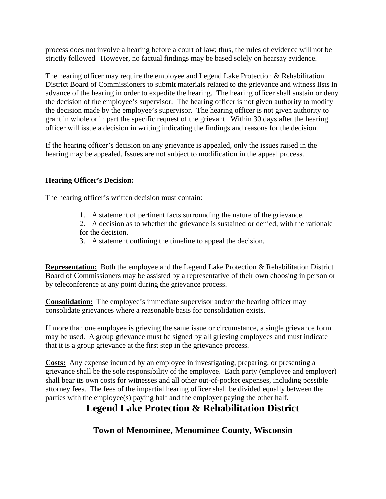process does not involve a hearing before a court of law; thus, the rules of evidence will not be strictly followed. However, no factual findings may be based solely on hearsay evidence.

The hearing officer may require the employee and Legend Lake Protection & Rehabilitation District Board of Commissioners to submit materials related to the grievance and witness lists in advance of the hearing in order to expedite the hearing. The hearing officer shall sustain or deny the decision of the employee's supervisor. The hearing officer is not given authority to modify the decision made by the employee's supervisor. The hearing officer is not given authority to grant in whole or in part the specific request of the grievant. Within 30 days after the hearing officer will issue a decision in writing indicating the findings and reasons for the decision.

If the hearing officer's decision on any grievance is appealed, only the issues raised in the hearing may be appealed. Issues are not subject to modification in the appeal process.

## **Hearing Officer's Decision:**

The hearing officer's written decision must contain:

- 1. A statement of pertinent facts surrounding the nature of the grievance.
- 2. A decision as to whether the grievance is sustained or denied, with the rationale for the decision.
- 3. A statement outlining the timeline to appeal the decision.

**Representation:** Both the employee and the Legend Lake Protection & Rehabilitation District Board of Commissioners may be assisted by a representative of their own choosing in person or by teleconference at any point during the grievance process.

**Consolidation:** The employee's immediate supervisor and/or the hearing officer may consolidate grievances where a reasonable basis for consolidation exists.

If more than one employee is grieving the same issue or circumstance, a single grievance form may be used. A group grievance must be signed by all grieving employees and must indicate that it is a group grievance at the first step in the grievance process.

**Costs:** Any expense incurred by an employee in investigating, preparing, or presenting a grievance shall be the sole responsibility of the employee. Each party (employee and employer) shall bear its own costs for witnesses and all other out-of-pocket expenses, including possible attorney fees. The fees of the impartial hearing officer shall be divided equally between the parties with the employee(s) paying half and the employer paying the other half.

## **Legend Lake Protection & Rehabilitation District**

**Town of Menominee, Menominee County, Wisconsin**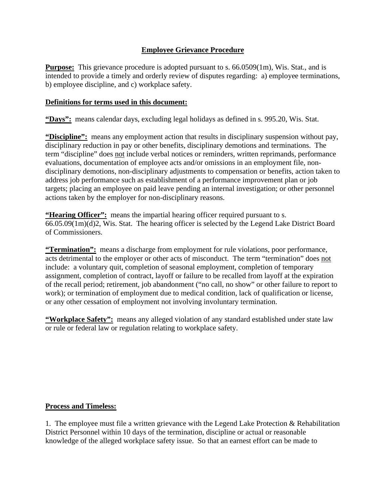### **Employee Grievance Procedure**

**Purpose:** This grievance procedure is adopted pursuant to s. 66.0509(1m), Wis. Stat., and is intended to provide a timely and orderly review of disputes regarding: a) employee terminations, b) employee discipline, and c) workplace safety.

### **Definitions for terms used in this document:**

**"Days":** means calendar days, excluding legal holidays as defined in s. 995.20, Wis. Stat.

**"Discipline":** means any employment action that results in disciplinary suspension without pay, disciplinary reduction in pay or other benefits, disciplinary demotions and terminations. The term "discipline" does not include verbal notices or reminders, written reprimands, performance evaluations, documentation of employee acts and/or omissions in an employment file, nondisciplinary demotions, non-disciplinary adjustments to compensation or benefits, action taken to address job performance such as establishment of a performance improvement plan or job targets; placing an employee on paid leave pending an internal investigation; or other personnel actions taken by the employer for non-disciplinary reasons.

**"Hearing Officer":** means the impartial hearing officer required pursuant to s. 66.05.09(1m)(d)2, Wis. Stat. The hearing officer is selected by the Legend Lake District Board of Commissioners.

**"Termination":** means a discharge from employment for rule violations, poor performance, acts detrimental to the employer or other acts of misconduct. The term "termination" does not include: a voluntary quit, completion of seasonal employment, completion of temporary assignment, completion of contract, layoff or failure to be recalled from layoff at the expiration of the recall period; retirement, job abandonment ("no call, no show" or other failure to report to work); or termination of employment due to medical condition, lack of qualification or license, or any other cessation of employment not involving involuntary termination.

**"Workplace Safety":** means any alleged violation of any standard established under state law or rule or federal law or regulation relating to workplace safety.

### **Process and Timeless:**

1. The employee must file a written grievance with the Legend Lake Protection & Rehabilitation District Personnel within 10 days of the termination, discipline or actual or reasonable knowledge of the alleged workplace safety issue. So that an earnest effort can be made to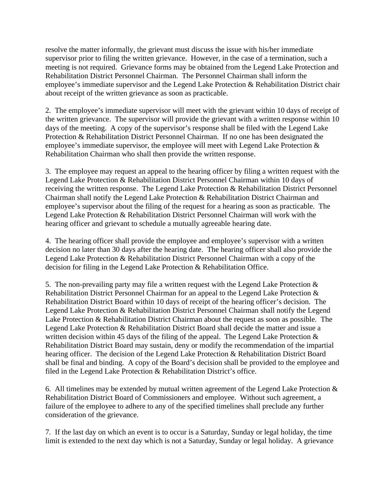resolve the matter informally, the grievant must discuss the issue with his/her immediate supervisor prior to filing the written grievance. However, in the case of a termination, such a meeting is not required. Grievance forms may be obtained from the Legend Lake Protection and Rehabilitation District Personnel Chairman. The Personnel Chairman shall inform the employee's immediate supervisor and the Legend Lake Protection & Rehabilitation District chair about receipt of the written grievance as soon as practicable.

2. The employee's immediate supervisor will meet with the grievant within 10 days of receipt of the written grievance. The supervisor will provide the grievant with a written response within 10 days of the meeting. A copy of the supervisor's response shall be filed with the Legend Lake Protection & Rehabilitation District Personnel Chairman. If no one has been designated the employee's immediate supervisor, the employee will meet with Legend Lake Protection & Rehabilitation Chairman who shall then provide the written response.

3. The employee may request an appeal to the hearing officer by filing a written request with the Legend Lake Protection & Rehabilitation District Personnel Chairman within 10 days of receiving the written response. The Legend Lake Protection & Rehabilitation District Personnel Chairman shall notify the Legend Lake Protection & Rehabilitation District Chairman and employee's supervisor about the filing of the request for a hearing as soon as practicable. The Legend Lake Protection & Rehabilitation District Personnel Chairman will work with the hearing officer and grievant to schedule a mutually agreeable hearing date.

4. The hearing officer shall provide the employee and employee's supervisor with a written decision no later than 30 days after the hearing date. The hearing officer shall also provide the Legend Lake Protection & Rehabilitation District Personnel Chairman with a copy of the decision for filing in the Legend Lake Protection & Rehabilitation Office.

5. The non-prevailing party may file a written request with the Legend Lake Protection & Rehabilitation District Personnel Chairman for an appeal to the Legend Lake Protection & Rehabilitation District Board within 10 days of receipt of the hearing officer's decision. The Legend Lake Protection & Rehabilitation District Personnel Chairman shall notify the Legend Lake Protection & Rehabilitation District Chairman about the request as soon as possible. The Legend Lake Protection & Rehabilitation District Board shall decide the matter and issue a written decision within 45 days of the filing of the appeal. The Legend Lake Protection  $\&$ Rehabilitation District Board may sustain, deny or modify the recommendation of the impartial hearing officer. The decision of the Legend Lake Protection & Rehabilitation District Board shall be final and binding. A copy of the Board's decision shall be provided to the employee and filed in the Legend Lake Protection & Rehabilitation District's office.

6. All timelines may be extended by mutual written agreement of the Legend Lake Protection & Rehabilitation District Board of Commissioners and employee. Without such agreement, a failure of the employee to adhere to any of the specified timelines shall preclude any further consideration of the grievance.

7. If the last day on which an event is to occur is a Saturday, Sunday or legal holiday, the time limit is extended to the next day which is not a Saturday, Sunday or legal holiday. A grievance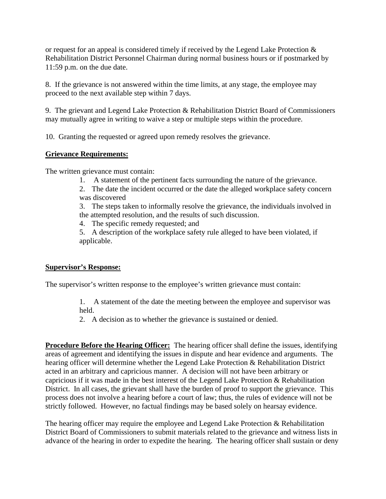or request for an appeal is considered timely if received by the Legend Lake Protection & Rehabilitation District Personnel Chairman during normal business hours or if postmarked by 11:59 p.m. on the due date.

8. If the grievance is not answered within the time limits, at any stage, the employee may proceed to the next available step within 7 days.

9. The grievant and Legend Lake Protection & Rehabilitation District Board of Commissioners may mutually agree in writing to waive a step or multiple steps within the procedure.

10. Granting the requested or agreed upon remedy resolves the grievance.

## **Grievance Requirements:**

The written grievance must contain:

1. A statement of the pertinent facts surrounding the nature of the grievance.

2. The date the incident occurred or the date the alleged workplace safety concern was discovered

3. The steps taken to informally resolve the grievance, the individuals involved in the attempted resolution, and the results of such discussion.

4. The specific remedy requested; and

5. A description of the workplace safety rule alleged to have been violated, if applicable.

### **Supervisor's Response:**

The supervisor's written response to the employee's written grievance must contain:

1. A statement of the date the meeting between the employee and supervisor was held.

2. A decision as to whether the grievance is sustained or denied.

**Procedure Before the Hearing Officer:** The hearing officer shall define the issues, identifying areas of agreement and identifying the issues in dispute and hear evidence and arguments. The hearing officer will determine whether the Legend Lake Protection & Rehabilitation District acted in an arbitrary and capricious manner. A decision will not have been arbitrary or capricious if it was made in the best interest of the Legend Lake Protection & Rehabilitation District. In all cases, the grievant shall have the burden of proof to support the grievance. This process does not involve a hearing before a court of law; thus, the rules of evidence will not be strictly followed. However, no factual findings may be based solely on hearsay evidence.

The hearing officer may require the employee and Legend Lake Protection & Rehabilitation District Board of Commissioners to submit materials related to the grievance and witness lists in advance of the hearing in order to expedite the hearing. The hearing officer shall sustain or deny